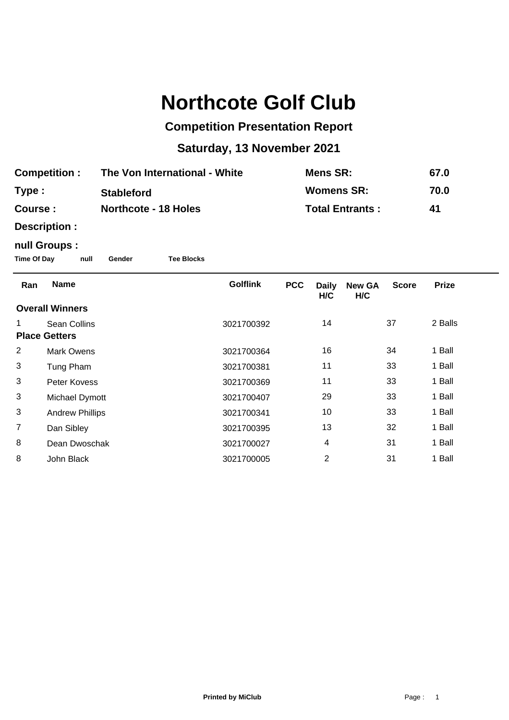# **Northcote Golf Club**

## **Competition Presentation Report**

## **Saturday, 13 November 2021**

| <b>Competition:</b> | The Von International - White | <b>Mens SR:</b>        | 67.0 |
|---------------------|-------------------------------|------------------------|------|
| Type:               | <b>Stableford</b>             | <b>Womens SR:</b>      | 70.0 |
| Course :            | <b>Northcote - 18 Holes</b>   | <b>Total Entrants:</b> | 41   |

**Description :**

### **null Groups :**

**Time Of Day null Gender Tee Blocks**

| Ran                  | <b>Name</b>            | <b>Golflink</b> | <b>PCC</b> | <b>Daily</b><br>H/C | <b>New GA</b><br>H/C | <b>Score</b> | <b>Prize</b> |
|----------------------|------------------------|-----------------|------------|---------------------|----------------------|--------------|--------------|
|                      | <b>Overall Winners</b> |                 |            |                     |                      |              |              |
|                      | <b>Sean Collins</b>    | 3021700392      |            | 14                  |                      | 37           | 2 Balls      |
| <b>Place Getters</b> |                        |                 |            |                     |                      |              |              |
| 2                    | <b>Mark Owens</b>      | 3021700364      |            | 16                  |                      | 34           | 1 Ball       |
| 3                    | Tung Pham              | 3021700381      |            | 11                  |                      | 33           | 1 Ball       |
| 3                    | Peter Kovess           | 3021700369      |            | 11                  |                      | 33           | 1 Ball       |
| 3                    | Michael Dymott         | 3021700407      |            | 29                  |                      | 33           | 1 Ball       |
| 3                    | <b>Andrew Phillips</b> | 3021700341      |            | 10                  |                      | 33           | 1 Ball       |
| $\overline{7}$       | Dan Sibley             | 3021700395      |            | 13                  |                      | 32           | 1 Ball       |
| 8                    | Dean Dwoschak          | 3021700027      |            | 4                   |                      | 31           | 1 Ball       |
| 8                    | John Black             | 3021700005      |            | $\overline{2}$      |                      | 31           | 1 Ball       |
|                      |                        |                 |            |                     |                      |              |              |